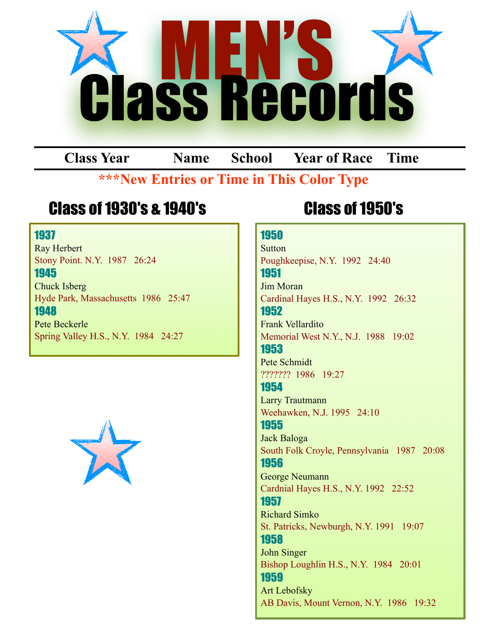

**Class Year Name School Year of Race Time**

### **\*\*\*New Entries or Time in This Color Type**

# Class of 1930's & 1940's Class of 1950's

#### 1937

Ray Herbert Stony Point. N.Y. 1987 26:24

#### 1945

Chuck Isberg Hyde Park, Massachusetts 1986 25:47 1948

Pete Beckerle Spring Valley H.S., N.Y. 1984 24:27



### 1950

Sutton Poughkeepise, N.Y. 1992 24:40 1951

Jim Moran Cardinal Hayes H.S., N.Y. 1992 26:32

1952 Frank Vellardito Memorial West N.Y., N.J. 1988 19:02 1953

Pete Schmidt ??????? 1986 19:27

#### 1954

Larry Trautmann Weehawken, N.J. 1995 24:10 1955

Jack Baloga South Folk Croyle, Pennsylvania 1987 20:08 1956

George Neumann Cardnial Hayes H.S., N.Y. 1992 22:52 1957

Richard Simko St. Patricks, Newburgh, N.Y. 1991 19:07 1958

John Singer Bishop Loughlin H.S., N.Y. 1984 20:01 1959 Art Lebofsky

AB Davis, Mount Vernon, N.Y. 1986 19:32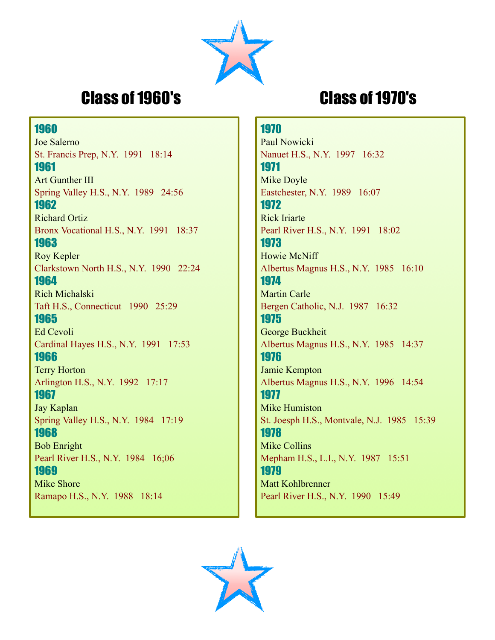

# Class of 1960's Class of 1970's

### 1970

Joe Salerno St. Francis Prep, N.Y. 1991 18:14 1961

Art Gunther III Spring Valley H.S., N.Y. 1989 24:56 1962

Richard Ortiz Bronx Vocational H.S., N.Y. 1991 18:37 1963

Roy Kepler

1960

Clarkstown North H.S., N.Y. 1990 22:24 1964

Rich Michalski Taft H.S., Connecticut 1990 25:29

1965 Ed Cevoli Cardinal Hayes H.S., N.Y. 1991 17:53 1966

Terry Horton Arlington H.S., N.Y. 1992 17:17

1967 Jay Kaplan Spring Valley H.S., N.Y. 1984 17:19

1968 Bob Enright Pearl River H.S., N.Y. 1984 16;06

1969 Mike Shore Ramapo H.S., N.Y. 1988 18:14

Paul Nowicki Nanuet H.S., N.Y. 1997 16:32 1971 Mike Doyle Eastchester, N.Y. 1989 16:07 1972

Rick Iriarte Pearl River H.S., N.Y. 1991 18:02

1973 Howie McNiff Albertus Magnus H.S., N.Y. 1985 16:10 1974

Martin Carle Bergen Catholic, N.J. 1987 16:32 1975

George Buckheit Albertus Magnus H.S., N.Y. 1985 14:37

1976 Jamie Kempton Albertus Magnus H.S., N.Y. 1996 14:54

1977 Mike Humiston St. Joesph H.S., Montvale, N.J. 1985 15:39 1978 Mike Collins

Mepham H.S., L.I., N.Y. 1987 15:51 1979

Matt Kohlbrenner Pearl River H.S., N.Y. 1990 15:49

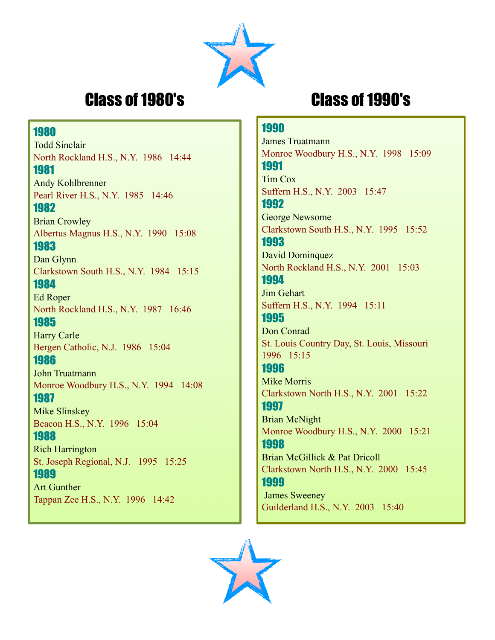

# Class of 1980's Class of 1990's

#### 1990

James Truatmann Monroe Woodbury H.S., N.Y. 1998 15:09 1991 Tim Cox Suffern H.S., N.Y. 2003 15:47 1992

George Newsome Clarkstown South H.S., N.Y. 1995 15:52 1993

David Dominquez North Rockland H.S., N.Y. 2001 15:03 1994

Jim Gehart Suffern H.S., N.Y. 1994 15:11 1995

Don Conrad St. Louis Country Day, St. Louis, Missouri 1996 15:15

1996 Mike Morris Clarkstown North H.S., N.Y. 2001 15:22 1997

Brian McNight Monroe Woodbury H.S., N.Y. 2000 15:21 1998

Brian McGillick & Pat Dricoll Clarkstown North H.S., N.Y. 2000 15:45 1999

 James Sweeney Guilderland H.S., N.Y. 2003 15:40



#### 1980

Todd Sinclair North Rockland H.S., N.Y. 1986 14:44 1981

Andy Kohlbrenner Pearl River H.S., N.Y. 1985 14:46

#### 1982

Brian Crowley Albertus Magnus H.S., N.Y. 1990 15:08

#### 1983

Dan Glynn Clarkstown South H.S., N.Y. 1984 15:15 1984

Ed Roper North Rockland H.S., N.Y. 1987 16:46

#### 1985

Harry Carle Bergen Catholic, N.J. 1986 15:04

#### 1986

John Truatmann Monroe Woodbury H.S., N.Y. 1994 14:08

#### 1987

I

I

Mike Slinskey Beacon H.S., N.Y. 1996 15:04

#### 1988

Rich Harrington St. Joseph Regional, N.J. 1995 15:25

1989 Art Gunther Tappan Zee H.S., N.Y. 1996 14:42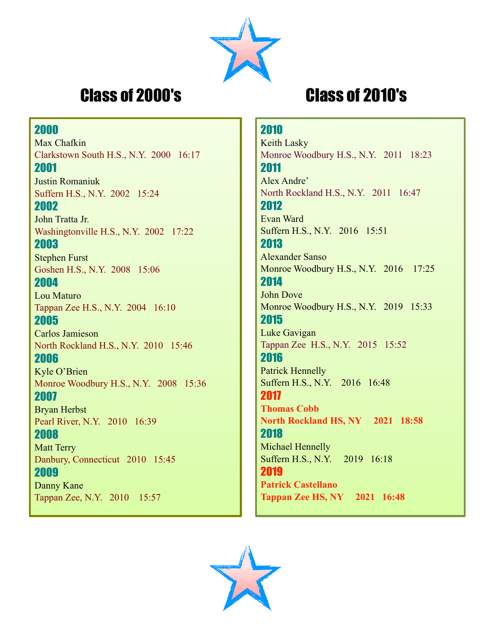

# Class of 2000's Class of 2010's

### 2000

Max Chafkin Clarkstown South H.S., N.Y. 2000 16:17 2001

Justin Romaniuk Suffern H.S., N.Y. 2002 15:24

2002

John Tratta Jr. Washingtonville H.S., N.Y. 2002 17:22

#### 2003

Stephen Furst Goshen H.S., N.Y. 2008 15:06

#### 2004

Lou Maturo Tappan Zee H.S., N.Y. 2004 16:10

#### 2005

Carlos Jamieson North Rockland H.S., N.Y. 2010 15:46

### 2006

Kyle O'Brien Monroe Woodbury H.S., N.Y. 2008 15:36

2007

Bryan Herbst Pearl River, N.Y. 2010 16:39

#### 2008

Matt Terry Danbury, Connecticut 2010 15:45

2009 Danny Kane Tappan Zee, N.Y. 2010 15:57

### 2010

Keith Lasky Monroe Woodbury H.S., N.Y. 2011 18:23 2011 Alex Andre' North Rockland H.S., N.Y. 2011 16:47 2012 Evan Ward Suffern H.S., N.Y. 2016 15:51

2013 Alexander Sanso Monroe Woodbury H.S., N.Y. 2016 17:25

#### 2014 John Dove Monroe Woodbury H.S., N.Y. 2019 15:33 2015

Luke Gavigan Tappan Zee H.S., N.Y. 2015 15:52 2016

Patrick Hennelly Suffern H.S., N.Y. 2016 16:48

2017 **Thomas Cobb North Rockland HS, NY 2021 18:58** 2018 Michael Hennelly Suffern H.S., N.Y. 2019 16:18 2019

**Patrick Castellano Tappan Zee HS, NY 2021 16:48**